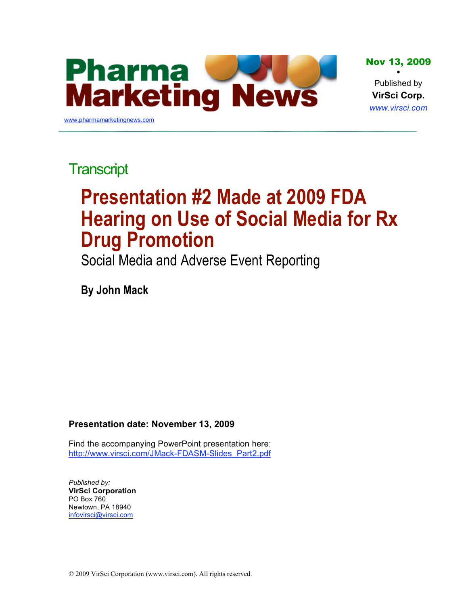

**Transcript** 

# **Presentation #2 Made at 2009 FDA Hearing on Use of Social Media for Rx Drug Promotion**

Social Media and Adverse Event Reporting

**By John Mack**

#### **Presentation date: November 13, 2009**

[Find the accompanying PowerPoint presentation here:](http://www.virsci.com/JMack-FDASM-Slides_Part2.pdf)  http://www.virsci.com/JMack-FDASM-Slides\_Part2.pdf

*Published by:* **VirSci Corporation** PO Box 760 Newtown, PA 18940 infovirsci@virsci.com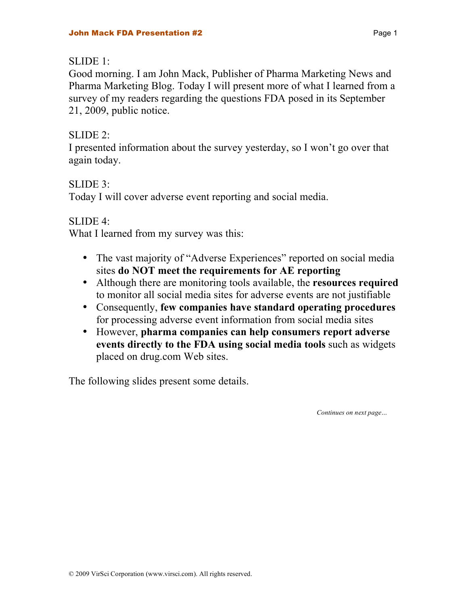#### $SLIDE 1$

Good morning. I am John Mack, Publisher of Pharma Marketing News and Pharma Marketing Blog. Today I will present more of what I learned from a survey of my readers regarding the questions FDA posed in its September 21, 2009, public notice.

#### SLIDE 2:

I presented information about the survey yesterday, so I won't go over that again today.

## SLIDE 3:

Today I will cover adverse event reporting and social media.

#### SLIDE 4:

What I learned from my survey was this:

- The vast majority of "Adverse Experiences" reported on social media sites **do NOT meet the requirements for AE reporting**
- Although there are monitoring tools available, the **resources required** to monitor all social media sites for adverse events are not justifiable
- Consequently, **few companies have standard operating procedures** for processing adverse event information from social media sites
- However, **pharma companies can help consumers report adverse events directly to the FDA using social media tools** such as widgets placed on drug.com Web sites.

The following slides present some details.

*Continues on next page…*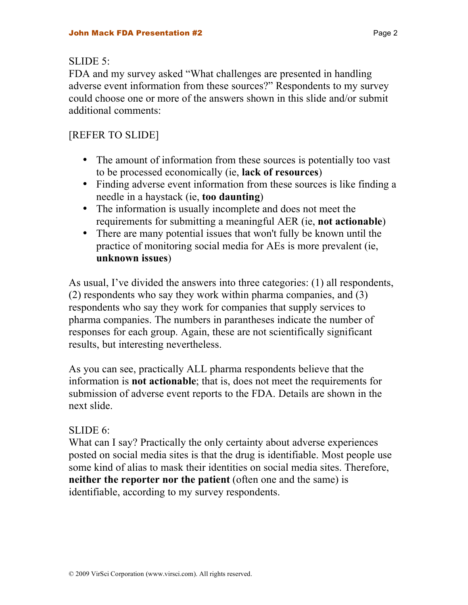#### $SLIDE 5$

FDA and my survey asked "What challenges are presented in handling adverse event information from these sources?" Respondents to my survey could choose one or more of the answers shown in this slide and/or submit additional comments:

# [REFER TO SLIDE]

- The amount of information from these sources is potentially too vast to be processed economically (ie, **lack of resources**)
- Finding adverse event information from these sources is like finding a needle in a haystack (ie, **too daunting**)
- The information is usually incomplete and does not meet the requirements for submitting a meaningful AER (ie, **not actionable**)
- There are many potential issues that won't fully be known until the practice of monitoring social media for AEs is more prevalent (ie, **unknown issues**)

As usual, I've divided the answers into three categories: (1) all respondents, (2) respondents who say they work within pharma companies, and (3) respondents who say they work for companies that supply services to pharma companies. The numbers in parantheses indicate the number of responses for each group. Again, these are not scientifically significant results, but interesting nevertheless.

As you can see, practically ALL pharma respondents believe that the information is **not actionable**; that is, does not meet the requirements for submission of adverse event reports to the FDA. Details are shown in the next slide.

## SLIDE 6:

What can I say? Practically the only certainty about adverse experiences posted on social media sites is that the drug is identifiable. Most people use some kind of alias to mask their identities on social media sites. Therefore, **neither the reporter nor the patient** (often one and the same) is identifiable, according to my survey respondents.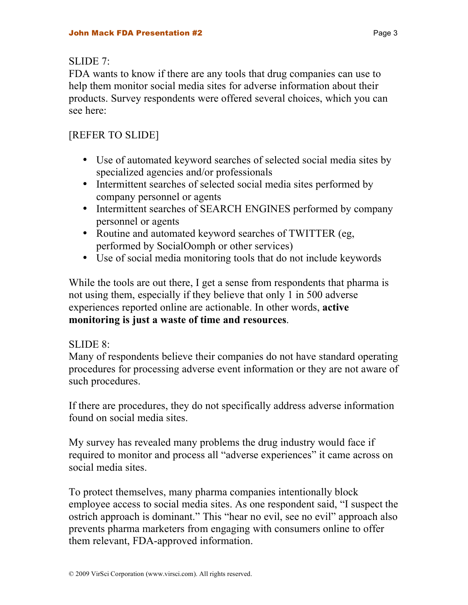#### $SI$  JDE 7:

FDA wants to know if there are any tools that drug companies can use to help them monitor social media sites for adverse information about their products. Survey respondents were offered several choices, which you can see here:

# [REFER TO SLIDE]

- Use of automated keyword searches of selected social media sites by specialized agencies and/or professionals
- Intermittent searches of selected social media sites performed by company personnel or agents
- Intermittent searches of SEARCH ENGINES performed by company personnel or agents
- Routine and automated keyword searches of TWITTER (eg. performed by SocialOomph or other services)
- Use of social media monitoring tools that do not include keywords

While the tools are out there, I get a sense from respondents that pharma is not using them, especially if they believe that only 1 in 500 adverse experiences reported online are actionable. In other words, **active monitoring is just a waste of time and resources**.

#### SLIDE 8:

Many of respondents believe their companies do not have standard operating procedures for processing adverse event information or they are not aware of such procedures.

If there are procedures, they do not specifically address adverse information found on social media sites.

My survey has revealed many problems the drug industry would face if required to monitor and process all "adverse experiences" it came across on social media sites.

To protect themselves, many pharma companies intentionally block employee access to social media sites. As one respondent said, "I suspect the ostrich approach is dominant." This "hear no evil, see no evil" approach also prevents pharma marketers from engaging with consumers online to offer them relevant, FDA-approved information.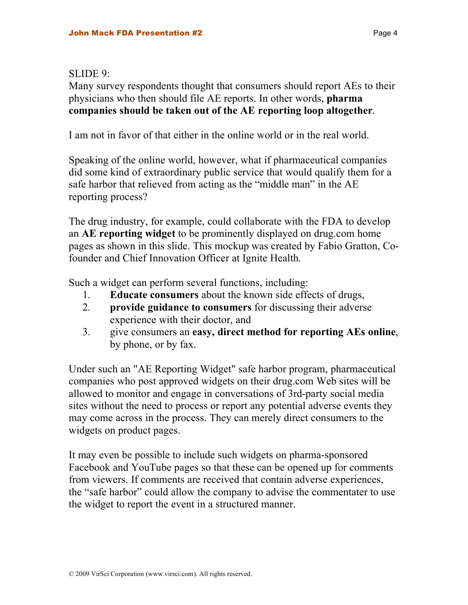#### SLIDE 9:

Many survey respondents thought that consumers should report AEs to their physicians who then should file AE reports. In other words, **pharma companies should be taken out of the AE reporting loop altogether**.

I am not in favor of that either in the online world or in the real world.

Speaking of the online world, however, what if pharmaceutical companies did some kind of extraordinary public service that would qualify them for a safe harbor that relieved from acting as the "middle man" in the AE reporting process?

The drug industry, for example, could collaborate with the FDA to develop an **AE reporting widget** to be prominently displayed on drug.com home pages as shown in this slide. This mockup was created by Fabio Gratton, Cofounder and Chief Innovation Officer at Ignite Health.

Such a widget can perform several functions, including:

- 1. **Educate consumers** about the known side effects of drugs,
- 2. **provide guidance to consumers** for discussing their adverse experience with their doctor, and
- 3. give consumers an **easy, direct method for reporting AEs online**, by phone, or by fax.

Under such an "AE Reporting Widget" safe harbor program, pharmaceutical companies who post approved widgets on their drug.com Web sites will be allowed to monitor and engage in conversations of 3rd-party social media sites without the need to process or report any potential adverse events they may come across in the process. They can merely direct consumers to the widgets on product pages.

It may even be possible to include such widgets on pharma-sponsored Facebook and YouTube pages so that these can be opened up for comments from viewers. If comments are received that contain adverse experiences, the "safe harbor" could allow the company to advise the commentater to use the widget to report the event in a structured manner.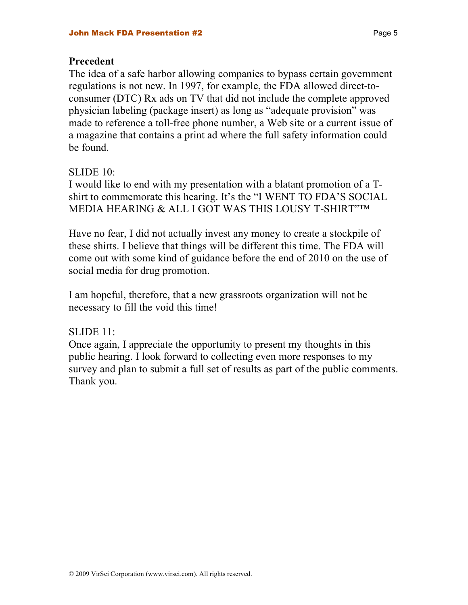#### **Precedent**

The idea of a safe harbor allowing companies to bypass certain government regulations is not new. In 1997, for example, the FDA allowed direct-toconsumer (DTC) Rx ads on TV that did not include the complete approved physician labeling (package insert) as long as "adequate provision" was made to reference a toll-free phone number, a Web site or a current issue of a magazine that contains a print ad where the full safety information could be found.

#### SLIDE 10:

I would like to end with my presentation with a blatant promotion of a Tshirt to commemorate this hearing. It's the "I WENT TO FDA'S SOCIAL MEDIA HEARING & ALL I GOT WAS THIS LOUSY T-SHIRT"™

Have no fear, I did not actually invest any money to create a stockpile of these shirts. I believe that things will be different this time. The FDA will come out with some kind of guidance before the end of 2010 on the use of social media for drug promotion.

I am hopeful, therefore, that a new grassroots organization will not be necessary to fill the void this time!

#### SLIDE 11:

Once again, I appreciate the opportunity to present my thoughts in this public hearing. I look forward to collecting even more responses to my survey and plan to submit a full set of results as part of the public comments. Thank you.